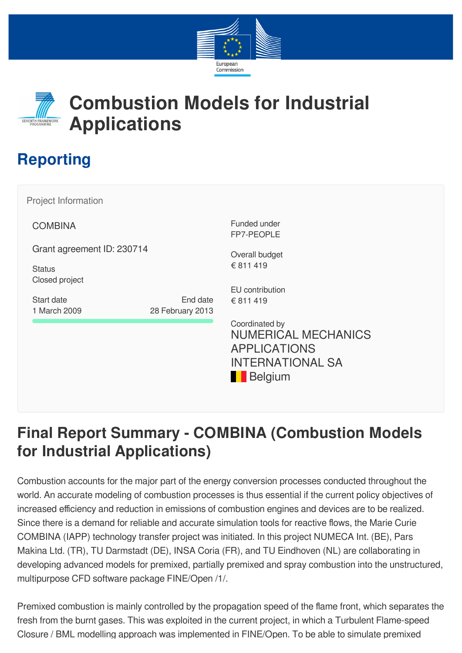



## **Combustion Models for Industrial Applications**

## **Reporting**

**COMBINA** Grant agreement ID: 230714 **Status** Closed project Funded under FP7-PEOPLE Coordinated by Project Information Start date 1 March 2009 End date 28 February 2013 Overall budget € 811 419 EU contribution € 811 419 NUMERICAL MECHANICS APPLICATIONS INTERNATIONAL SA

## **Final Report Summary - COMBINA (Combustion Models for Industrial Applications)**

**Belgium** 

Combustion accounts for the major part of the energy conversion processes conducted throughout the world. An accurate modeling of combustion processes is thus essential if the current policy objectives of increased efficiency and reduction in emissions of combustion engines and devices are to be realized. Since there is a demand for reliable and accurate simulation tools for reactive flows, the Marie Curie COMBINA (IAPP) technology transfer project was initiated. In this project NUMECA Int. (BE), Pars Makina Ltd. (TR), TU Darmstadt (DE), INSA Coria (FR), and TU Eindhoven (NL) are collaborating in developing advanced models for premixed, partially premixed and spray combustion into the unstructured, multipurpose CFD software package FINE/Open /1/.

Premixed combustion is mainly controlled by the propagation speed of the flame front, which separates the fresh from the burnt gases. This was exploited in the current project, in which a Turbulent Flame-speed Closure / BML modelling approach was implemented in FINE/Open. To be able to simulate premixed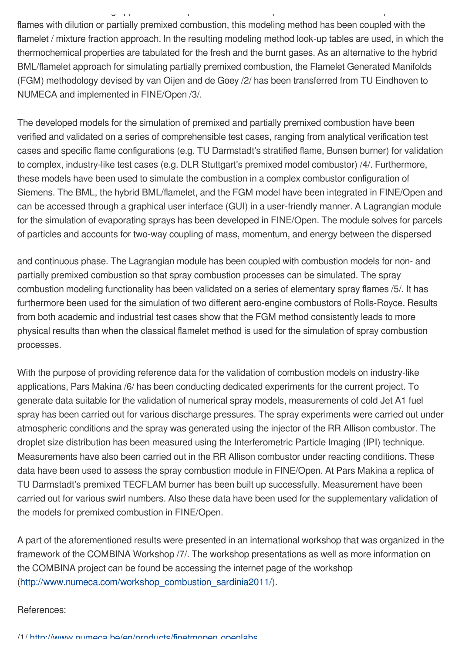flames with dilution or partially premixed combustion, this modeling method has been coupled with the flamelet / mixture fraction approach. In the resulting modeling method look-up tables are used, in which the thermochemical properties are tabulated for the fresh and the burnt gases. As an alternative to the hybrid BML/flamelet approach for simulating partially premixed combustion, the Flamelet Generated Manifolds (FGM) methodology devised by van Oijen and de Goey /2/ has been transferred from TU Eindhoven to NUMECA and implemented in FINE/Open /3/.

g pp p p p

The developed models for the simulation of premixed and partially premixed combustion have been verified and validated on a series of comprehensible test cases, ranging from analytical verification test cases and specific flame configurations (e.g. TU Darmstadt's stratified flame, Bunsen burner) for validation to complex, industry-like test cases (e.g. DLR Stuttgart's premixed model combustor) /4/. Furthermore, these models have been used to simulate the combustion in a complex combustor configuration of Siemens. The BML, the hybrid BML/flamelet, and the FGM model have been integrated in FINE/Open and can be accessed through a graphical user interface (GUI) in a user-friendly manner. A Lagrangian module for the simulation of evaporating sprays has been developed in FINE/Open. The module solves for parcels of particles and accounts for two-way coupling of mass, momentum, and energy between the dispersed

and continuous phase. The Lagrangian module has been coupled with combustion models for non- and partially premixed combustion so that spray combustion processes can be simulated. The spray combustion modeling functionality has been validated on a series of elementary spray flames /5/. It has furthermore been used for the simulation of two different aero-engine combustors of Rolls-Royce. Results from both academic and industrial test cases show that the FGM method consistently leads to more physical results than when the classical flamelet method is used for the simulation of spray combustion processes.

With the purpose of providing reference data for the validation of combustion models on industry-like applications, Pars Makina /6/ has been conducting dedicated experiments for the current project. To generate data suitable for the validation of numerical spray models, measurements of cold Jet A1 fuel spray has been carried out for various discharge pressures. The spray experiments were carried out under atmospheric conditions and the spray was generated using the injector of the RR Allison combustor. The droplet size distribution has been measured using the Interferometric Particle Imaging (IPI) technique. Measurements have also been carried out in the RR Allison combustor under reacting conditions. These data have been used to assess the spray combustion module in FINE/Open. At Pars Makina a replica of TU Darmstadt's premixed TECFLAM burner has been built up successfully. Measurement have been carried out for various swirl numbers. Also these data have been used for the supplementary validation of the models for premixed combustion in FINE/Open.

A part of the aforementioned results were presented in an international workshop that was organized in the framework of the COMBINA Workshop /7/. The workshop presentations as well as more information on the COMBINA project can be found be accessing the internet page of the workshop [\(http://www.numeca.com/workshop\\_combustion\\_sardinia2011/\)](http://www.numeca.com/workshop_combustion_sardinia2011/).

## References: